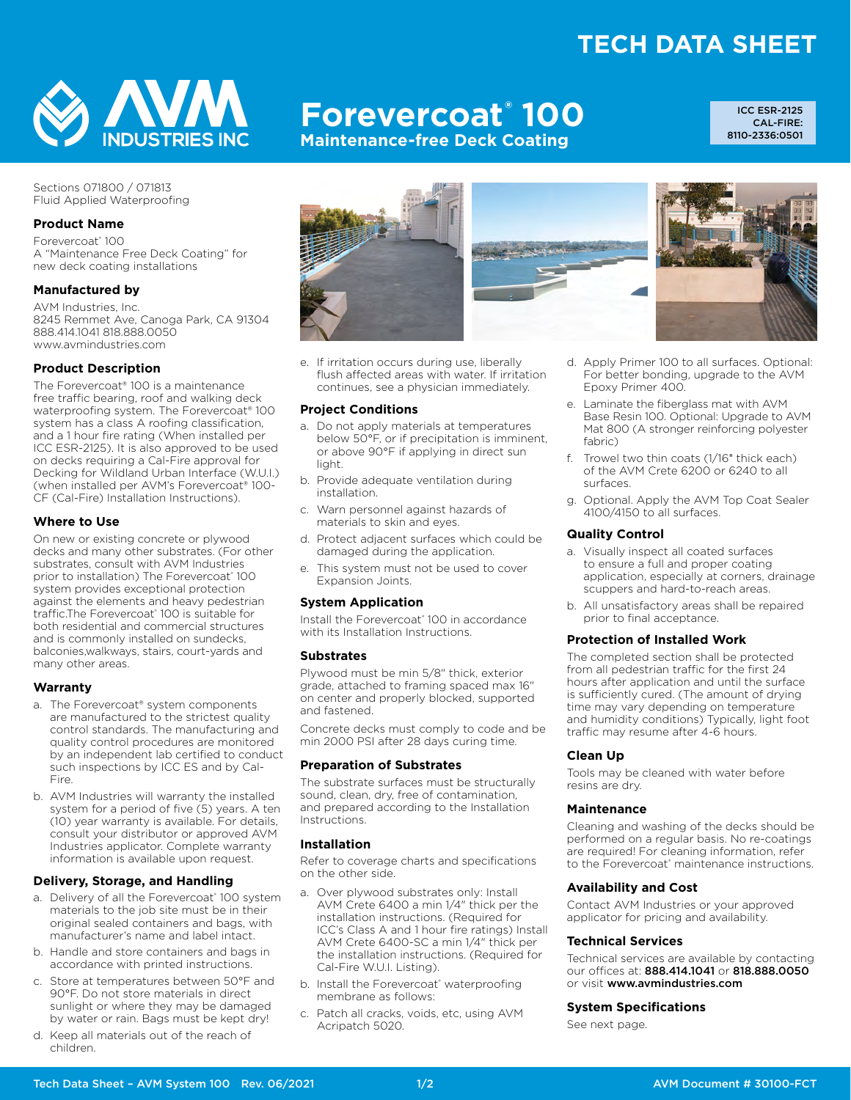## **TECH DATA SHEET**



# **Forevercoat® 100**

**Maintenance-free Deck Coating**

ICC ESR-2125 CAL-FIRE: 8110-2336:0501

Sections 071800 / 071813 Fluid Applied Waterproofing

#### **Product Name**

Forevercoat® 100 A "Maintenance Free Deck Coating" for new deck coating installations

#### **Manufactured by**

AVM Industries, Inc. 8245 Remmet Ave, Canoga Park, CA 91304 888.414.1041 818.888.0050 www.avmindustries.com

#### **Product Description**

The Forevercoat® 100 is a maintenance free traffic bearing, roof and walking deck waterproofing system. The Forevercoat® 100 system has a class A roofing classification, and a 1 hour fire rating (When installed per ICC ESR-2125). It is also approved to be used on decks requiring a Cal-Fire approval for Decking for Wildland Urban Interface (W.U.I.) (when installed per AVM's Forevercoat® 100- CF (Cal-Fire) Installation Instructions).

#### **Where to Use**

On new or existing concrete or plywood decks and many other substrates. (For other substrates, consult with AVM Industries prior to installation) The Forevercoat® 100 system provides exceptional protection against the elements and heavy pedestrian traffic.The Forevercoat® 100 is suitable for both residential and commercial structures and is commonly installed on sundecks, balconies,walkways, stairs, court-yards and many other areas.

#### **Warranty**

- a. The Forevercoat® system components are manufactured to the strictest quality control standards. The manufacturing and quality control procedures are monitored by an independent lab certified to conduct such inspections by ICC ES and by Cal-Fire.
- b. AVM Industries will warranty the installed system for a period of five (5) years. A ten (10) year warranty is available. For details, consult your distributor or approved AVM Industries applicator. Complete warranty information is available upon request.

#### **Delivery, Storage, and Handling**

- a. Delivery of all the Forevercoat® 100 system materials to the job site must be in their original sealed containers and bags, with manufacturer's name and label intact.
- b. Handle and store containers and bags in accordance with printed instructions.
- c. Store at temperatures between 50°F and 90°F. Do not store materials in direct sunlight or where they may be damaged by water or rain. Bags must be kept dry!
- d. Keep all materials out of the reach of children.



e. If irritation occurs during use, liberally flush affected areas with water. If irritation continues, see a physician immediately.

#### **Project Conditions**

- a. Do not apply materials at temperatures below 50°F, or if precipitation is imminent, or above 90°F if applying in direct sun light.
- b. Provide adequate ventilation during installation.
- c. Warn personnel against hazards of materials to skin and eyes.
- d. Protect adjacent surfaces which could be damaged during the application.
- e. This system must not be used to cover Expansion Joints.

#### **System Application**

Install the Forevercoat® 100 in accordance with its Installation Instructions.

#### **Substrates**

Plywood must be min 5/8" thick, exterior grade, attached to framing spaced max 16" on center and properly blocked, supported and fastened.

Concrete decks must comply to code and be min 2000 PSI after 28 days curing time.

#### **Preparation of Substrates**

The substrate surfaces must be structurally sound, clean, dry, free of contamination, and prepared according to the Installation Instructions.

#### **Installation**

Refer to coverage charts and specifications on the other side.

- a. Over plywood substrates only: Install AVM Crete 6400 a min 1/4" thick per the installation instructions. (Required for ICC's Class A and 1 hour fire ratings) Install AVM Crete 6400-SC a min 1/4" thick per the installation instructions. (Required for Cal-Fire W.U.I. Listing).
- b. Install the Forevercoat® waterproofing membrane as follows:
- c. Patch all cracks, voids, etc, using AVM Acripatch 5020.



- d. Apply Primer 100 to all surfaces. Optional: For better bonding, upgrade to the AVM Epoxy Primer 400.
- e. Laminate the fiberglass mat with AVM Base Resin 100. Optional: Upgrade to AVM Mat 800 (A stronger reinforcing polyester fabric)
- f. Trowel two thin coats (1/16" thick each) of the AVM Crete 6200 or 6240 to all surfaces.
- g. Optional. Apply the AVM Top Coat Sealer 4100/4150 to all surfaces.

#### **Quality Control**

- a. Visually inspect all coated surfaces to ensure a full and proper coating application, especially at corners, drainage scuppers and hard-to-reach areas.
- b. All unsatisfactory areas shall be repaired prior to final acceptance.

#### **Protection of Installed Work**

The completed section shall be protected from all pedestrian traffic for the first 24 hours after application and until the surface is sufficiently cured. (The amount of drying time may vary depending on temperature and humidity conditions) Typically, light foot traffic may resume after 4-6 hours.

#### **Clean Up**

Tools may be cleaned with water before resins are dry.

#### **Maintenance**

Cleaning and washing of the decks should be performed on a regular basis. No re-coatings are required! For cleaning information, refer to the Forevercoat® maintenance instructions.

#### **Availability and Cost**

Contact AVM Industries or your approved applicator for pricing and availability.

#### **Technical Services**

Technical services are available by contacting our offices at: 888.414.1041 or 818.888.0050 or visit www.avmindustries.com

#### **System Specifications**

See next page.